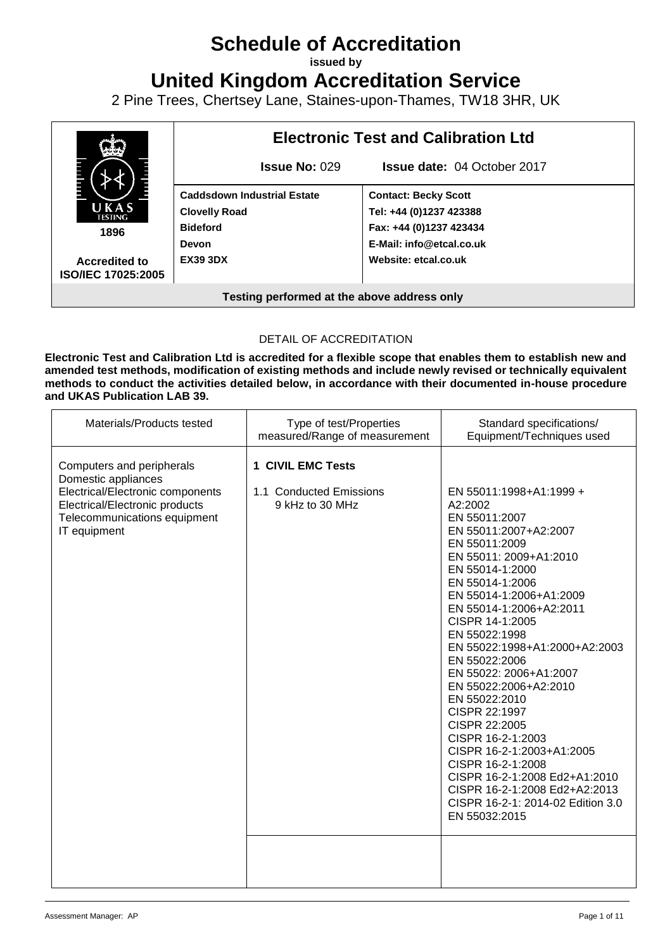# **Schedule of Accreditation**

**issued by**

**United Kingdom Accreditation Service**

2 Pine Trees, Chertsey Lane, Staines-upon-Thames, TW18 3HR, UK



### DETAIL OF ACCREDITATION

**Electronic Test and Calibration Ltd is accredited for a flexible scope that enables them to establish new and amended test methods, modification of existing methods and include newly revised or technically equivalent methods to conduct the activities detailed below, in accordance with their documented in-house procedure and UKAS Publication LAB 39.**

| Materials/Products tested                                                                                                                                              | Type of test/Properties<br>measured/Range of measurement               | Standard specifications/<br>Equipment/Techniques used                                                                                                                                                                                                                                                                                                                                                                                                                                                                                                                                                          |
|------------------------------------------------------------------------------------------------------------------------------------------------------------------------|------------------------------------------------------------------------|----------------------------------------------------------------------------------------------------------------------------------------------------------------------------------------------------------------------------------------------------------------------------------------------------------------------------------------------------------------------------------------------------------------------------------------------------------------------------------------------------------------------------------------------------------------------------------------------------------------|
| Computers and peripherals<br>Domestic appliances<br>Electrical/Electronic components<br>Electrical/Electronic products<br>Telecommunications equipment<br>IT equipment | <b>1 CIVIL EMC Tests</b><br>1.1 Conducted Emissions<br>9 kHz to 30 MHz | EN 55011:1998+A1:1999 +<br>A2:2002<br>EN 55011:2007<br>EN 55011:2007+A2:2007<br>EN 55011:2009<br>EN 55011: 2009+A1:2010<br>EN 55014-1:2000<br>EN 55014-1:2006<br>EN 55014-1:2006+A1:2009<br>EN 55014-1:2006+A2:2011<br>CISPR 14-1:2005<br>EN 55022:1998<br>EN 55022:1998+A1:2000+A2:2003<br>EN 55022:2006<br>EN 55022: 2006+A1:2007<br>EN 55022:2006+A2:2010<br>EN 55022:2010<br>CISPR 22:1997<br>CISPR 22:2005<br>CISPR 16-2-1:2003<br>CISPR 16-2-1:2003+A1:2005<br>CISPR 16-2-1:2008<br>CISPR 16-2-1:2008 Ed2+A1:2010<br>CISPR 16-2-1:2008 Ed2+A2:2013<br>CISPR 16-2-1: 2014-02 Edition 3.0<br>EN 55032:2015 |
|                                                                                                                                                                        |                                                                        |                                                                                                                                                                                                                                                                                                                                                                                                                                                                                                                                                                                                                |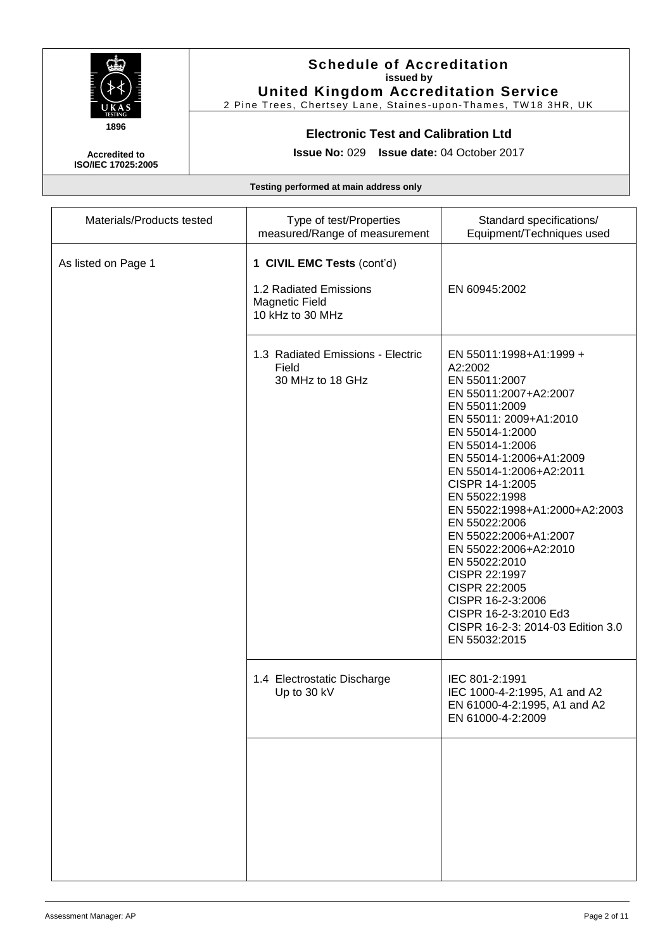

2 Pine Trees, Chertsey Lane, Staines-upon-Thames, TW18 3HR, UK

### **Electronic Test and Calibration Ltd**

**Issue No:** 029 **Issue date:** 04 October 2017

**Accredited to ISO/IEC 17025:2005**

| Materials/Products tested | Type of test/Properties<br>measured/Range of measurement                                          | Standard specifications/<br>Equipment/Techniques used                                                                                                                                                                                                                                                                                                                                                                                                                                                              |
|---------------------------|---------------------------------------------------------------------------------------------------|--------------------------------------------------------------------------------------------------------------------------------------------------------------------------------------------------------------------------------------------------------------------------------------------------------------------------------------------------------------------------------------------------------------------------------------------------------------------------------------------------------------------|
| As listed on Page 1       | 1 CIVIL EMC Tests (cont'd)<br>1.2 Radiated Emissions<br><b>Magnetic Field</b><br>10 kHz to 30 MHz | EN 60945:2002                                                                                                                                                                                                                                                                                                                                                                                                                                                                                                      |
|                           | 1.3 Radiated Emissions - Electric<br>Field<br>30 MHz to 18 GHz                                    | EN 55011:1998+A1:1999 +<br>A2:2002<br>EN 55011:2007<br>EN 55011:2007+A2:2007<br>EN 55011:2009<br>EN 55011: 2009+A1:2010<br>EN 55014-1:2000<br>EN 55014-1:2006<br>EN 55014-1:2006+A1:2009<br>EN 55014-1:2006+A2:2011<br>CISPR 14-1:2005<br>EN 55022:1998<br>EN 55022:1998+A1:2000+A2:2003<br>EN 55022:2006<br>EN 55022:2006+A1:2007<br>EN 55022:2006+A2:2010<br>EN 55022:2010<br>CISPR 22:1997<br>CISPR 22:2005<br>CISPR 16-2-3:2006<br>CISPR 16-2-3:2010 Ed3<br>CISPR 16-2-3: 2014-03 Edition 3.0<br>EN 55032:2015 |
|                           | 1.4 Electrostatic Discharge<br>Up to 30 kV                                                        | IEC 801-2:1991<br>IEC 1000-4-2:1995, A1 and A2<br>EN 61000-4-2:1995, A1 and A2<br>EN 61000-4-2:2009                                                                                                                                                                                                                                                                                                                                                                                                                |
|                           |                                                                                                   |                                                                                                                                                                                                                                                                                                                                                                                                                                                                                                                    |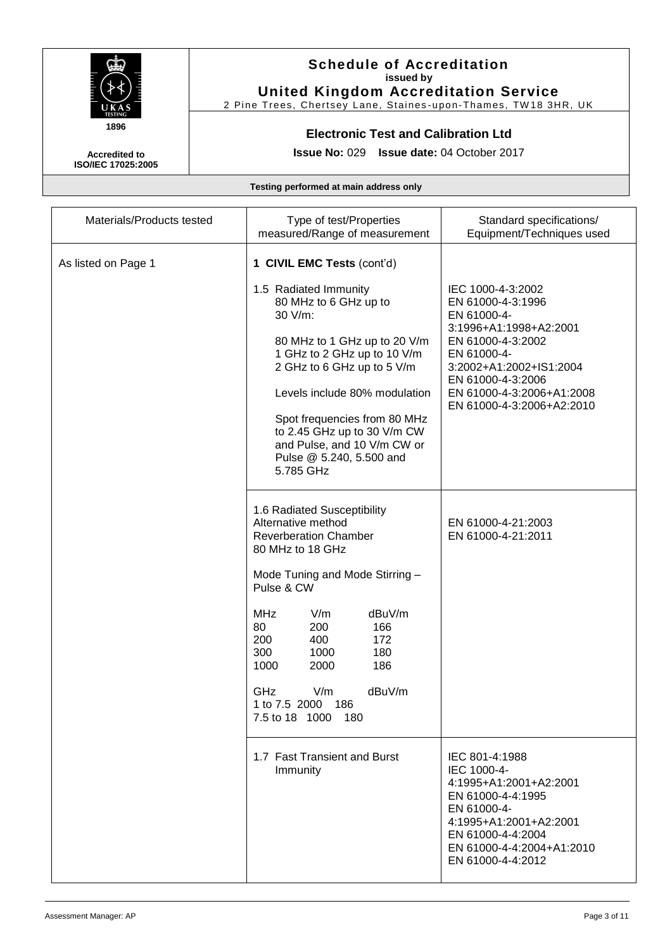

2 Pine Trees, Chertsey Lane, Staines-upon-Thames, TW18 3HR, UK

### **Electronic Test and Calibration Ltd**

**Issue No:** 029 **Issue date:** 04 October 2017

**Accredited to ISO/IEC 17025:2005**

| Materials/Products tested | Type of test/Properties<br>measured/Range of measurement                                                                                                                                                                                                                                                                                                     | Standard specifications/<br>Equipment/Techniques used                                                                                                                                                                         |
|---------------------------|--------------------------------------------------------------------------------------------------------------------------------------------------------------------------------------------------------------------------------------------------------------------------------------------------------------------------------------------------------------|-------------------------------------------------------------------------------------------------------------------------------------------------------------------------------------------------------------------------------|
| As listed on Page 1       | 1 CIVIL EMC Tests (cont'd)<br>1.5 Radiated Immunity<br>80 MHz to 6 GHz up to<br>30 V/m:<br>80 MHz to 1 GHz up to 20 V/m<br>1 GHz to 2 GHz up to 10 V/m<br>2 GHz to 6 GHz up to 5 V/m<br>Levels include 80% modulation<br>Spot frequencies from 80 MHz<br>to 2.45 GHz up to 30 V/m CW<br>and Pulse, and 10 V/m CW or<br>Pulse @ 5.240, 5.500 and<br>5.785 GHz | IEC 1000-4-3:2002<br>EN 61000-4-3:1996<br>EN 61000-4-<br>3:1996+A1:1998+A2:2001<br>EN 61000-4-3:2002<br>EN 61000-4-<br>3:2002+A1:2002+IS1:2004<br>EN 61000-4-3:2006<br>EN 61000-4-3:2006+A1:2008<br>EN 61000-4-3:2006+A2:2010 |
|                           | 1.6 Radiated Susceptibility<br>Alternative method<br><b>Reverberation Chamber</b><br>80 MHz to 18 GHz<br>Mode Tuning and Mode Stirring -<br>Pulse & CW<br><b>MHz</b><br>V/m<br>dBuV/m<br>80<br>200<br>166<br>200<br>400<br>172<br>1000<br>300<br>180<br>186<br>1000<br>2000<br>GHz<br>V/m<br>dBuV/m<br>1 to 7.5 2000<br>186<br>7.5 to 18 1000<br>- 180       | EN 61000-4-21:2003<br>EN 61000-4-21:2011                                                                                                                                                                                      |
|                           | 1.7 Fast Transient and Burst<br>Immunity                                                                                                                                                                                                                                                                                                                     | IEC 801-4:1988<br>IEC 1000-4-<br>4:1995+A1:2001+A2:2001<br>EN 61000-4-4:1995<br>EN 61000-4-<br>4:1995+A1:2001+A2:2001<br>EN 61000-4-4:2004<br>EN 61000-4-4:2004+A1:2010<br>EN 61000-4-4:2012                                  |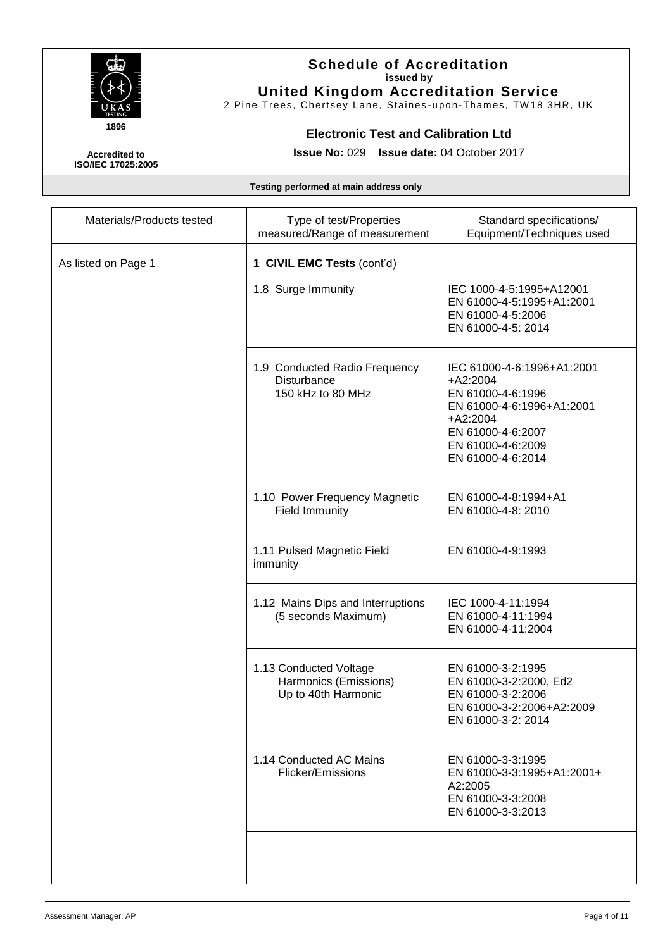

2 Pine Trees, Chertsey Lane, Staines-upon-Thames, TW18 3HR, UK

### **Electronic Test and Calibration Ltd**

**Issue No:** 029 **Issue date:** 04 October 2017

**Accredited to ISO/IEC 17025:2005**

| Materials/Products tested | Type of test/Properties<br>measured/Range of measurement               | Standard specifications/<br>Equipment/Techniques used                                                                                                                   |
|---------------------------|------------------------------------------------------------------------|-------------------------------------------------------------------------------------------------------------------------------------------------------------------------|
| As listed on Page 1       | 1 CIVIL EMC Tests (cont'd)<br>1.8 Surge Immunity                       | IEC 1000-4-5:1995+A12001<br>EN 61000-4-5:1995+A1:2001<br>EN 61000-4-5:2006<br>EN 61000-4-5: 2014                                                                        |
|                           | 1.9 Conducted Radio Frequency<br>Disturbance<br>150 kHz to 80 MHz      | IEC 61000-4-6:1996+A1:2001<br>$+A2:2004$<br>EN 61000-4-6:1996<br>EN 61000-4-6:1996+A1:2001<br>$+A2:2004$<br>EN 61000-4-6:2007<br>EN 61000-4-6:2009<br>EN 61000-4-6:2014 |
|                           | 1.10 Power Frequency Magnetic<br><b>Field Immunity</b>                 | EN 61000-4-8:1994+A1<br>EN 61000-4-8: 2010                                                                                                                              |
|                           | 1.11 Pulsed Magnetic Field<br>immunity                                 | EN 61000-4-9:1993                                                                                                                                                       |
|                           | 1.12 Mains Dips and Interruptions<br>(5 seconds Maximum)               | IEC 1000-4-11:1994<br>EN 61000-4-11:1994<br>EN 61000-4-11:2004                                                                                                          |
|                           | 1.13 Conducted Voltage<br>Harmonics (Emissions)<br>Up to 40th Harmonic | EN 61000-3-2:1995<br>EN 61000-3-2:2000, Ed2<br>EN 61000-3-2:2006<br>EN 61000-3-2:2006+A2:2009<br>EN 61000-3-2: 2014                                                     |
|                           | 1.14 Conducted AC Mains<br>Flicker/Emissions                           | EN 61000-3-3:1995<br>EN 61000-3-3:1995+A1:2001+<br>A2:2005<br>EN 61000-3-3:2008<br>EN 61000-3-3:2013                                                                    |
|                           |                                                                        |                                                                                                                                                                         |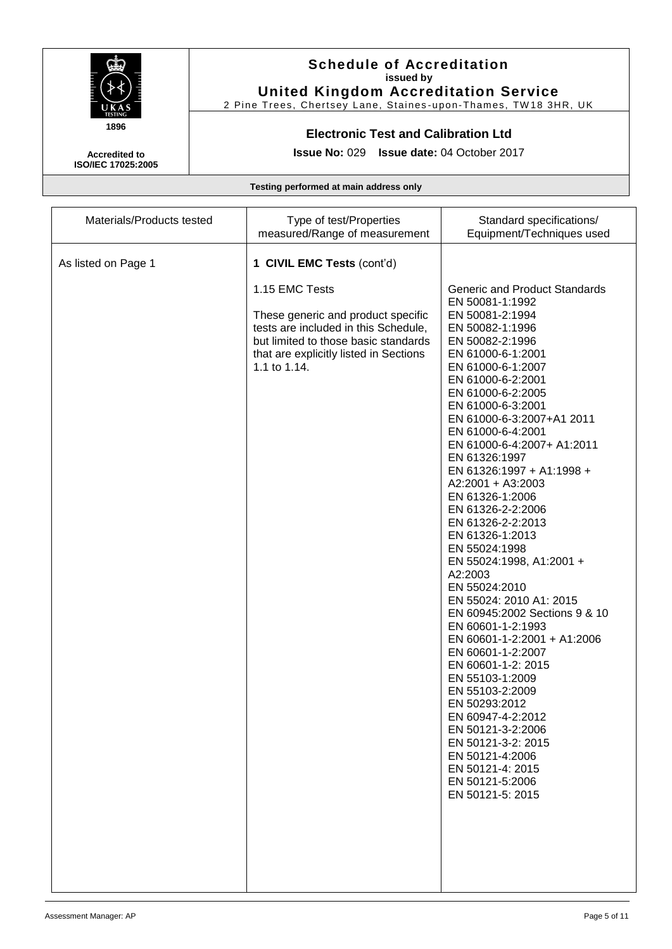

2 Pine Trees, Chertsey Lane, Staines-upon-Thames, TW18 3HR, UK

### **Electronic Test and Calibration Ltd**

**Issue No:** 029 **Issue date:** 04 October 2017

**Accredited to ISO/IEC 17025:2005**

| Materials/Products tested | Type of test/Properties<br>measured/Range of measurement                                                                                                                                       | Standard specifications/<br>Equipment/Techniques used                                                                                                                                                                                                                                                                                                                                                                                                                                                                                                                                                                                                                                                                                                                                                                                                                                                 |
|---------------------------|------------------------------------------------------------------------------------------------------------------------------------------------------------------------------------------------|-------------------------------------------------------------------------------------------------------------------------------------------------------------------------------------------------------------------------------------------------------------------------------------------------------------------------------------------------------------------------------------------------------------------------------------------------------------------------------------------------------------------------------------------------------------------------------------------------------------------------------------------------------------------------------------------------------------------------------------------------------------------------------------------------------------------------------------------------------------------------------------------------------|
| As listed on Page 1       | 1 CIVIL EMC Tests (cont'd)                                                                                                                                                                     |                                                                                                                                                                                                                                                                                                                                                                                                                                                                                                                                                                                                                                                                                                                                                                                                                                                                                                       |
|                           | 1.15 EMC Tests<br>These generic and product specific<br>tests are included in this Schedule,<br>but limited to those basic standards<br>that are explicitly listed in Sections<br>1.1 to 1.14. | <b>Generic and Product Standards</b><br>EN 50081-1:1992<br>EN 50081-2:1994<br>EN 50082-1:1996<br>EN 50082-2:1996<br>EN 61000-6-1:2001<br>EN 61000-6-1:2007<br>EN 61000-6-2:2001<br>EN 61000-6-2:2005<br>EN 61000-6-3:2001<br>EN 61000-6-3:2007+A1 2011<br>EN 61000-6-4:2001<br>EN 61000-6-4:2007+ A1:2011<br>EN 61326:1997<br>EN 61326:1997 + A1:1998 +<br>A2:2001 + A3:2003<br>EN 61326-1:2006<br>EN 61326-2-2:2006<br>EN 61326-2-2:2013<br>EN 61326-1:2013<br>EN 55024:1998<br>EN 55024:1998, A1:2001 +<br>A2:2003<br>EN 55024:2010<br>EN 55024: 2010 A1: 2015<br>EN 60945:2002 Sections 9 & 10<br>EN 60601-1-2:1993<br>EN 60601-1-2:2001 + A1:2006<br>EN 60601-1-2:2007<br>EN 60601-1-2: 2015<br>EN 55103-1:2009<br>EN 55103-2:2009<br>EN 50293:2012<br>EN 60947-4-2:2012<br>EN 50121-3-2:2006<br>EN 50121-3-2: 2015<br>EN 50121-4:2006<br>EN 50121-4: 2015<br>EN 50121-5:2006<br>EN 50121-5: 2015 |
|                           |                                                                                                                                                                                                |                                                                                                                                                                                                                                                                                                                                                                                                                                                                                                                                                                                                                                                                                                                                                                                                                                                                                                       |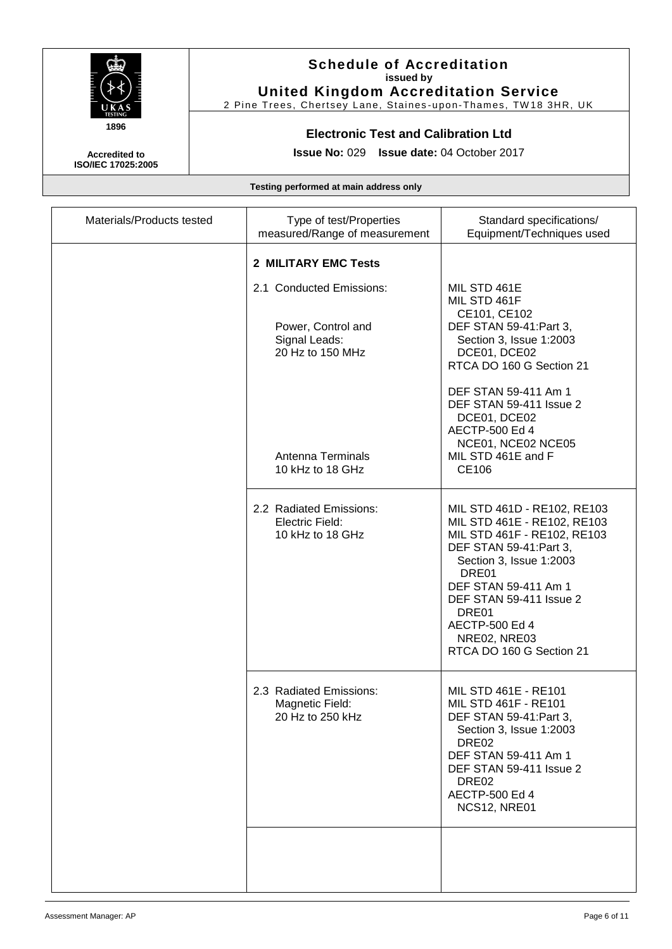

2 Pine Trees, Chertsey Lane, Staines-upon-Thames, TW18 3HR, UK

### **Electronic Test and Calibration Ltd**

**Accredited to ISO/IEC 17025:2005** **Issue No:** 029 **Issue date:** 04 October 2017

| Materials/Products tested | Type of test/Properties<br>measured/Range of measurement                                                                     | Standard specifications/<br>Equipment/Techniques used                                                                                                                                                                                                                                    |
|---------------------------|------------------------------------------------------------------------------------------------------------------------------|------------------------------------------------------------------------------------------------------------------------------------------------------------------------------------------------------------------------------------------------------------------------------------------|
|                           | 2 MILITARY EMC Tests                                                                                                         |                                                                                                                                                                                                                                                                                          |
|                           | 2.1 Conducted Emissions:<br>Power, Control and<br>Signal Leads:<br>20 Hz to 150 MHz<br>Antenna Terminals<br>10 kHz to 18 GHz | MIL STD 461E<br>MIL STD 461F<br>CE101, CE102<br>DEF STAN 59-41: Part 3,<br>Section 3, Issue 1:2003<br>DCE01, DCE02<br>RTCA DO 160 G Section 21<br>DEF STAN 59-411 Am 1<br>DEF STAN 59-411 Issue 2<br>DCE01, DCE02<br>AECTP-500 Ed 4<br>NCE01, NCE02 NCE05<br>MIL STD 461E and F<br>CE106 |
|                           |                                                                                                                              |                                                                                                                                                                                                                                                                                          |
|                           | 2.2 Radiated Emissions:<br>Electric Field:<br>10 kHz to 18 GHz                                                               | MIL STD 461D - RE102, RE103<br>MIL STD 461E - RE102, RE103<br>MIL STD 461F - RE102, RE103<br>DEF STAN 59-41: Part 3,<br>Section 3, Issue 1:2003<br>DRE01<br>DEF STAN 59-411 Am 1<br>DEF STAN 59-411 Issue 2<br>DRE01<br>AECTP-500 Ed 4<br>NRE02, NRE03<br>RTCA DO 160 G Section 21       |
|                           | 2.3 Radiated Emissions:<br>Magnetic Field:<br>20 Hz to 250 kHz                                                               | MIL STD 461E - RE101<br>MIL STD 461F - RE101<br>DEF STAN 59-41: Part 3,<br>Section 3, Issue 1:2003<br>DRE <sub>02</sub><br>DEF STAN 59-411 Am 1<br>DEF STAN 59-411 Issue 2<br>DRE <sub>02</sub><br>AECTP-500 Ed 4<br><b>NCS12, NRE01</b>                                                 |
|                           |                                                                                                                              |                                                                                                                                                                                                                                                                                          |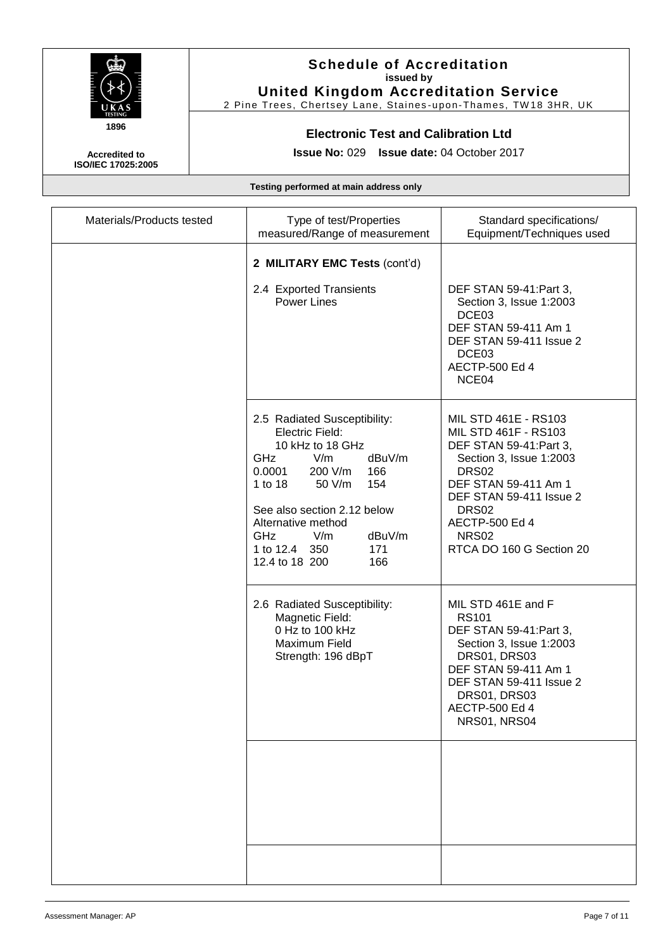

2 Pine Trees, Chertsey Lane, Staines-upon-Thames, TW18 3HR, UK

### **Electronic Test and Calibration Ltd**

**Accredited to ISO/IEC 17025:2005** **Issue No:** 029 **Issue date:** 04 October 2017

| Materials/Products tested | Type of test/Properties<br>measured/Range of measurement                                                                                                                                                                                                                                               | Standard specifications/<br>Equipment/Techniques used                                                                                                                                                                                             |
|---------------------------|--------------------------------------------------------------------------------------------------------------------------------------------------------------------------------------------------------------------------------------------------------------------------------------------------------|---------------------------------------------------------------------------------------------------------------------------------------------------------------------------------------------------------------------------------------------------|
|                           | 2 MILITARY EMC Tests (cont'd)<br>2.4 Exported Transients<br><b>Power Lines</b>                                                                                                                                                                                                                         | DEF STAN 59-41: Part 3,<br>Section 3, Issue 1:2003<br>DCE03<br>DEF STAN 59-411 Am 1<br>DEF STAN 59-411 Issue 2<br>DCE03<br>AECTP-500 Ed 4<br>NCE04                                                                                                |
|                           | 2.5 Radiated Susceptibility:<br><b>Electric Field:</b><br>10 kHz to 18 GHz<br><b>GHz</b><br>V/m<br>dBuV/m<br>0.0001<br>200 V/m<br>166<br>1 to 18<br>50 V/m<br>154<br>See also section 2.12 below<br>Alternative method<br><b>GHz</b><br>dBuV/m<br>V/m<br>1 to 12.4 350<br>171<br>12.4 to 18 200<br>166 | MIL STD 461E - RS103<br>MIL STD 461F - RS103<br>DEF STAN 59-41: Part 3,<br>Section 3, Issue 1:2003<br>DRS02<br>DEF STAN 59-411 Am 1<br>DEF STAN 59-411 Issue 2<br>DRS <sub>02</sub><br>AECTP-500 Ed 4<br><b>NRS02</b><br>RTCA DO 160 G Section 20 |
|                           | 2.6 Radiated Susceptibility:<br>Magnetic Field:<br>0 Hz to 100 kHz<br>Maximum Field<br>Strength: 196 dBpT                                                                                                                                                                                              | MIL STD 461E and F<br><b>RS101</b><br>DEF STAN 59-41: Part 3,<br>Section 3, Issue 1:2003<br>DRS01, DRS03<br>DEF STAN 59-411 Am 1<br>DEF STAN 59-411 Issue 2<br>DRS01, DRS03<br>AECTP-500 Ed 4<br><b>NRS01, NRS04</b>                              |
|                           |                                                                                                                                                                                                                                                                                                        |                                                                                                                                                                                                                                                   |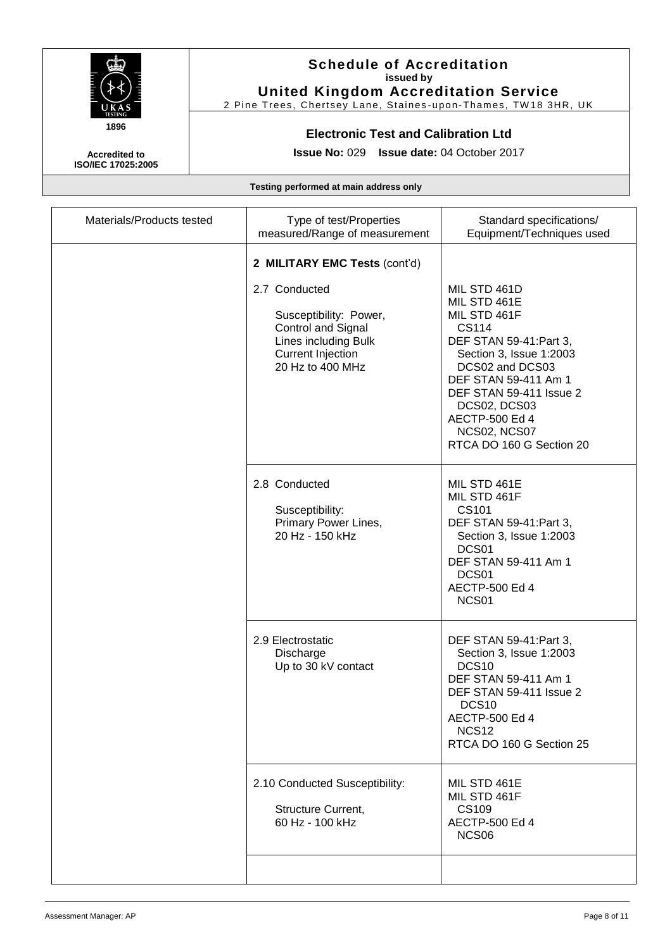

2 Pine Trees, Chertsey Lane, Staines-upon-Thames, TW18 3HR, UK

### **Electronic Test and Calibration Ltd**

**Accredited to ISO/IEC 17025:2005** **Issue No:** 029 **Issue date:** 04 October 2017

| Materials/Products tested | Type of test/Properties<br>measured/Range of measurement                                                                                                               | Standard specifications/<br>Equipment/Techniques used                                                                                                                                                                                                           |
|---------------------------|------------------------------------------------------------------------------------------------------------------------------------------------------------------------|-----------------------------------------------------------------------------------------------------------------------------------------------------------------------------------------------------------------------------------------------------------------|
|                           | 2 MILITARY EMC Tests (cont'd)<br>2.7 Conducted<br>Susceptibility: Power,<br>Control and Signal<br>Lines including Bulk<br><b>Current Injection</b><br>20 Hz to 400 MHz | MIL STD 461D<br>MIL STD 461E<br>MIL STD 461F<br>CS114<br>DEF STAN 59-41: Part 3,<br>Section 3, Issue 1:2003<br>DCS02 and DCS03<br>DEF STAN 59-411 Am 1<br>DEF STAN 59-411 Issue 2<br>DCS02, DCS03<br>AECTP-500 Ed 4<br>NCS02, NCS07<br>RTCA DO 160 G Section 20 |
|                           | 2.8 Conducted<br>Susceptibility:<br>Primary Power Lines,<br>20 Hz - 150 kHz                                                                                            | MIL STD 461E<br>MIL STD 461F<br>CS101<br>DEF STAN 59-41: Part 3,<br>Section 3, Issue 1:2003<br>DCS01<br>DEF STAN 59-411 Am 1<br>DCS01<br>AECTP-500 Ed 4<br>NCS01                                                                                                |
|                           | 2.9 Electrostatic<br>Discharge<br>Up to 30 kV contact                                                                                                                  | DEF STAN 59-41: Part 3,<br>Section 3, Issue 1:2003<br>DCS <sub>10</sub><br>DEF STAN 59-411 Am 1<br>DEF STAN 59-411 Issue 2<br>DCS <sub>10</sub><br>AECTP-500 Ed 4<br><b>NCS12</b><br>RTCA DO 160 G Section 25                                                   |
|                           | 2.10 Conducted Susceptibility:<br>Structure Current,<br>60 Hz - 100 kHz                                                                                                | MIL STD 461E<br>MIL STD 461F<br><b>CS109</b><br>AECTP-500 Ed 4<br>NCS <sub>06</sub>                                                                                                                                                                             |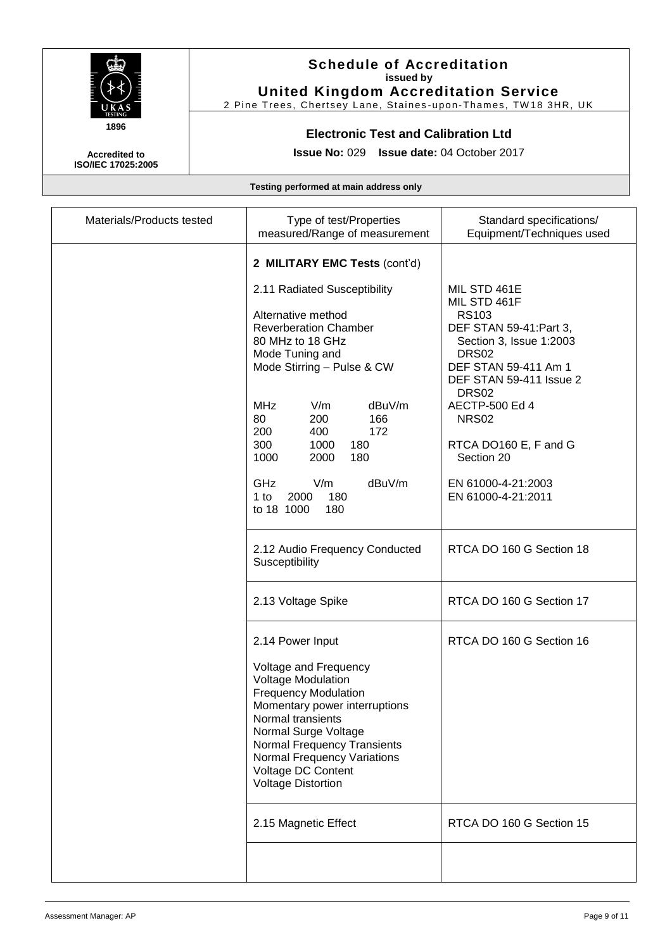

2 Pine Trees, Chertsey Lane, Staines-upon-Thames, TW18 3HR, UK

### **Electronic Test and Calibration Ltd**

**Accredited to ISO/IEC 17025:2005** **Issue No:** 029 **Issue date:** 04 October 2017

| Type of test/Properties<br>measured/Range of measurement                                                                                                                                                                                                                                                                                           | Standard specifications/<br>Equipment/Techniques used                                                                                                                                                                                                                                                                |
|----------------------------------------------------------------------------------------------------------------------------------------------------------------------------------------------------------------------------------------------------------------------------------------------------------------------------------------------------|----------------------------------------------------------------------------------------------------------------------------------------------------------------------------------------------------------------------------------------------------------------------------------------------------------------------|
| 2 MILITARY EMC Tests (cont'd)                                                                                                                                                                                                                                                                                                                      |                                                                                                                                                                                                                                                                                                                      |
| 2.11 Radiated Susceptibility<br>Alternative method<br><b>Reverberation Chamber</b><br>80 MHz to 18 GHz<br>Mode Tuning and<br>Mode Stirring - Pulse & CW<br>V/m<br><b>MHz</b><br>dBuV/m<br>80<br>200<br>166<br>200<br>400<br>172<br>300<br>1000<br>180<br>1000<br>2000<br>180<br>GHz<br>V/m<br>dBuV/m<br>180<br>$1$ to<br>2000<br>to 18 1000<br>180 | MIL STD 461E<br>MIL STD 461F<br><b>RS103</b><br>DEF STAN 59-41: Part 3,<br>Section 3, Issue 1:2003<br>DRS <sub>02</sub><br>DEF STAN 59-411 Am 1<br>DEF STAN 59-411 Issue 2<br>DRS <sub>02</sub><br>AECTP-500 Ed 4<br><b>NRS02</b><br>RTCA DO160 E, F and G<br>Section 20<br>EN 61000-4-21:2003<br>EN 61000-4-21:2011 |
| Susceptibility                                                                                                                                                                                                                                                                                                                                     | RTCA DO 160 G Section 18                                                                                                                                                                                                                                                                                             |
| 2.13 Voltage Spike                                                                                                                                                                                                                                                                                                                                 | RTCA DO 160 G Section 17                                                                                                                                                                                                                                                                                             |
| 2.14 Power Input<br>Voltage and Frequency<br><b>Voltage Modulation</b><br><b>Frequency Modulation</b><br>Momentary power interruptions<br>Normal transients<br>Normal Surge Voltage<br><b>Normal Frequency Transients</b><br>Normal Frequency Variations<br>Voltage DC Content<br><b>Voltage Distortion</b>                                        | RTCA DO 160 G Section 16                                                                                                                                                                                                                                                                                             |
| 2.15 Magnetic Effect                                                                                                                                                                                                                                                                                                                               | RTCA DO 160 G Section 15                                                                                                                                                                                                                                                                                             |
|                                                                                                                                                                                                                                                                                                                                                    | 2.12 Audio Frequency Conducted                                                                                                                                                                                                                                                                                       |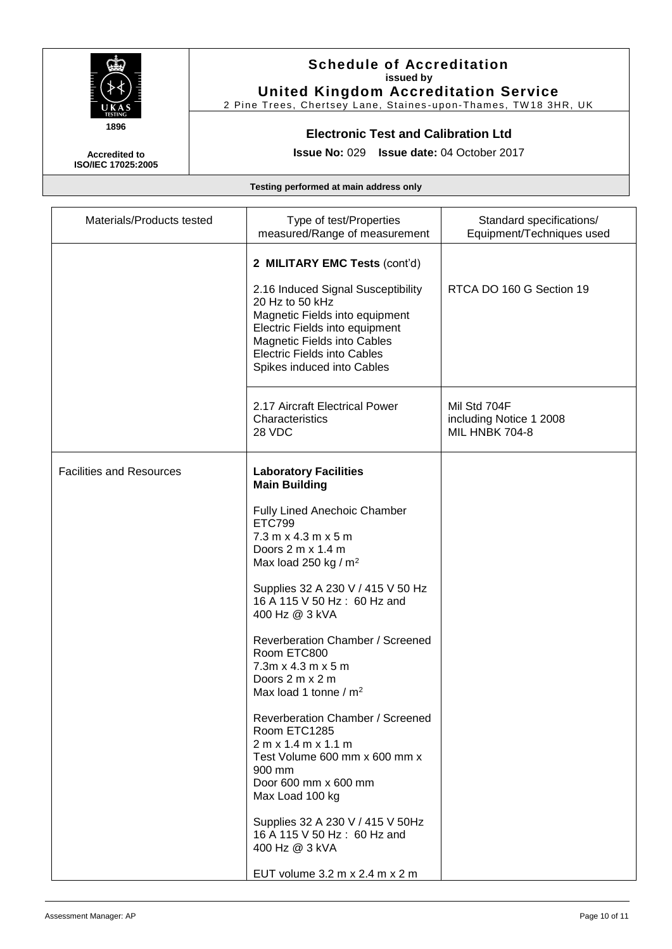

2 Pine Trees, Chertsey Lane, Staines-upon-Thames, TW18 3HR, UK

## **Electronic Test and Calibration Ltd**

**Issue No:** 029 **Issue date:** 04 October 2017

**Accredited to ISO/IEC 17025:2005**

| Materials/Products tested       | Type of test/Properties<br>measured/Range of measurement                                                                                                                                                                     | Standard specifications/<br>Equipment/Techniques used     |
|---------------------------------|------------------------------------------------------------------------------------------------------------------------------------------------------------------------------------------------------------------------------|-----------------------------------------------------------|
|                                 | 2 MILITARY EMC Tests (cont'd)                                                                                                                                                                                                |                                                           |
|                                 | 2.16 Induced Signal Susceptibility<br>20 Hz to 50 kHz<br>Magnetic Fields into equipment<br>Electric Fields into equipment<br>Magnetic Fields into Cables<br><b>Electric Fields into Cables</b><br>Spikes induced into Cables | RTCA DO 160 G Section 19                                  |
|                                 | 2.17 Aircraft Electrical Power<br>Characteristics<br>28 VDC                                                                                                                                                                  | Mil Std 704F<br>including Notice 1 2008<br>MIL HNBK 704-8 |
| <b>Facilities and Resources</b> | <b>Laboratory Facilities</b><br><b>Main Building</b>                                                                                                                                                                         |                                                           |
|                                 | Fully Lined Anechoic Chamber<br><b>ETC799</b><br>7.3 m x 4.3 m x 5 m<br>Doors 2 m x 1.4 m<br>Max load 250 kg / $m2$                                                                                                          |                                                           |
|                                 | Supplies 32 A 230 V / 415 V 50 Hz<br>16 A 115 V 50 Hz: 60 Hz and<br>400 Hz @ 3 kVA                                                                                                                                           |                                                           |
|                                 | Reverberation Chamber / Screened<br>Room ETC800<br>$7.3m \times 4.3m \times 5m$<br>Doors 2 m x 2 m<br>Max load 1 tonne / m <sup>2</sup>                                                                                      |                                                           |
|                                 | Reverberation Chamber / Screened<br>Room ETC1285<br>2 m x 1.4 m x 1.1 m<br>Test Volume 600 mm x 600 mm x<br>900 mm<br>Door 600 mm x 600 mm<br>Max Load 100 kg                                                                |                                                           |
|                                 | Supplies 32 A 230 V / 415 V 50Hz<br>16 A 115 V 50 Hz: 60 Hz and<br>400 Hz @ 3 kVA<br>EUT volume 3.2 m x 2.4 m x 2 m                                                                                                          |                                                           |